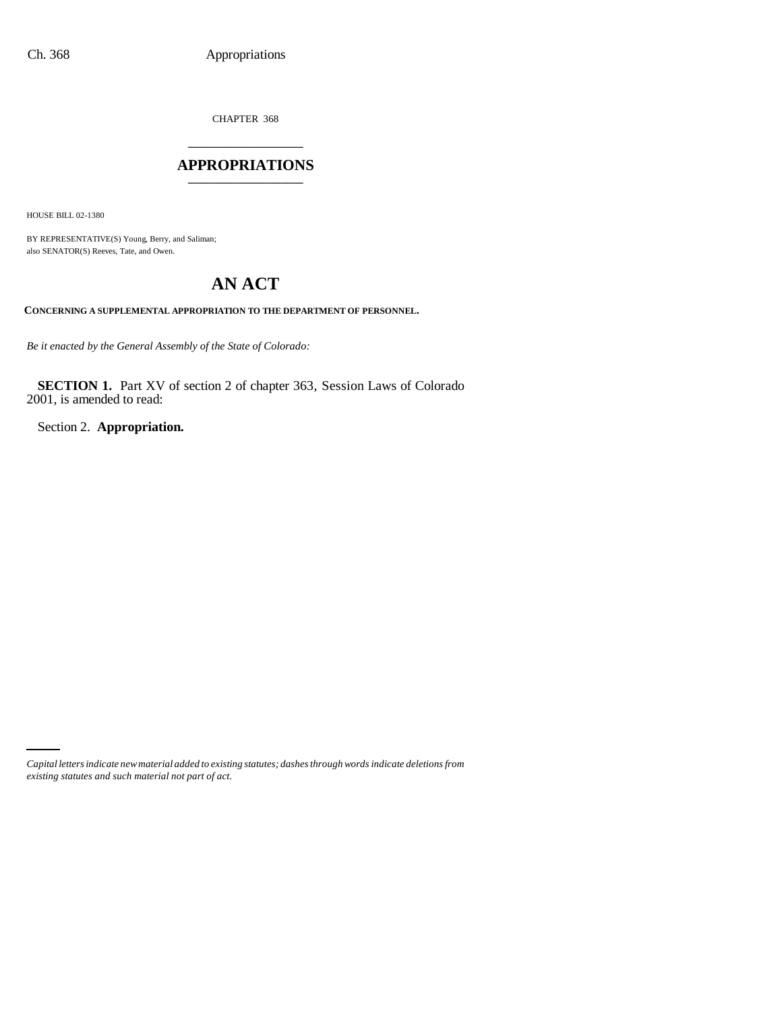CHAPTER 368 \_\_\_\_\_\_\_\_\_\_\_\_\_\_\_

## **APPROPRIATIONS** \_\_\_\_\_\_\_\_\_\_\_\_\_\_\_

HOUSE BILL 02-1380

BY REPRESENTATIVE(S) Young, Berry, and Saliman; also SENATOR(S) Reeves, Tate, and Owen.

# **AN ACT**

**CONCERNING A SUPPLEMENTAL APPROPRIATION TO THE DEPARTMENT OF PERSONNEL.**

*Be it enacted by the General Assembly of the State of Colorado:*

**SECTION 1.** Part XV of section 2 of chapter 363, Session Laws of Colorado 2001, is amended to read:

Section 2. **Appropriation.**

*Capital letters indicate new material added to existing statutes; dashes through words indicate deletions from existing statutes and such material not part of act.*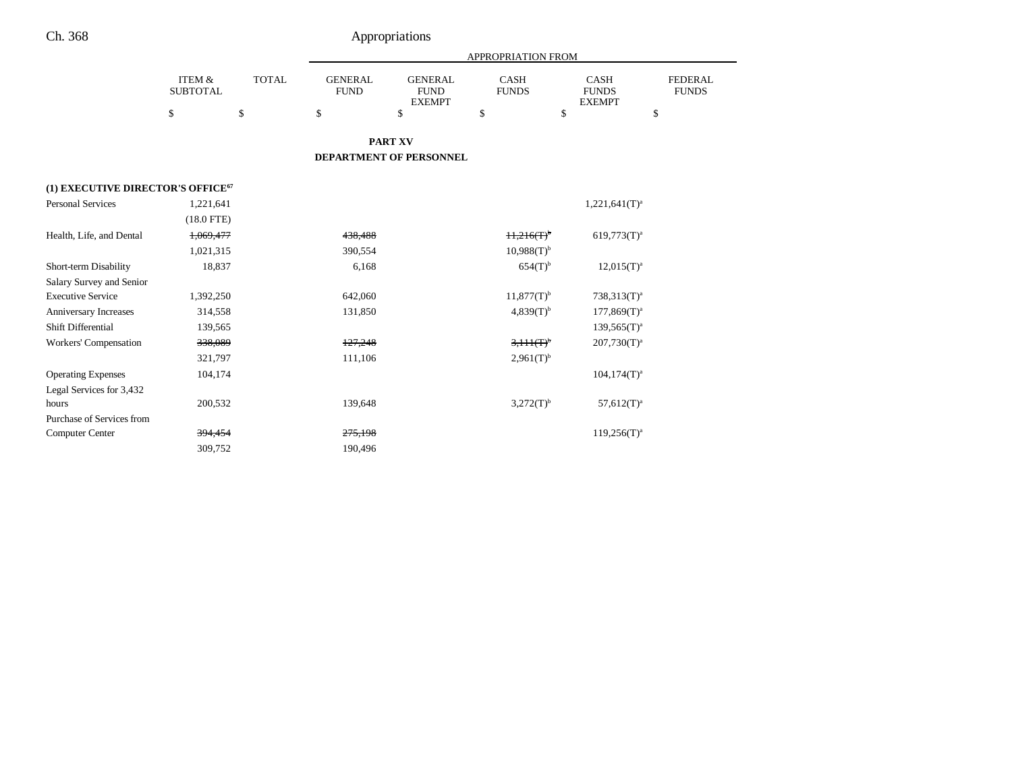|                                   |                           |              |                               |                                                | APPROPRIATION FROM          |                                              |                                |
|-----------------------------------|---------------------------|--------------|-------------------------------|------------------------------------------------|-----------------------------|----------------------------------------------|--------------------------------|
|                                   | ITEM &<br><b>SUBTOTAL</b> | <b>TOTAL</b> | <b>GENERAL</b><br><b>FUND</b> | <b>GENERAL</b><br><b>FUND</b><br><b>EXEMPT</b> | <b>CASH</b><br><b>FUNDS</b> | <b>CASH</b><br><b>FUNDS</b><br><b>EXEMPT</b> | <b>FEDERAL</b><br><b>FUNDS</b> |
|                                   | \$                        | \$           | \$                            | \$                                             | \$                          | \$                                           | \$                             |
|                                   |                           |              |                               | <b>PART XV</b>                                 |                             |                                              |                                |
|                                   |                           |              |                               | DEPARTMENT OF PERSONNEL                        |                             |                                              |                                |
| (1) EXECUTIVE DIRECTOR'S OFFICE67 |                           |              |                               |                                                |                             |                                              |                                |
| <b>Personal Services</b>          | 1,221,641                 |              |                               |                                                |                             | $1,221,641(T)^a$                             |                                |
|                                   | $(18.0$ FTE)              |              |                               |                                                |                             |                                              |                                |
| Health, Life, and Dental          | 1,069,477                 |              | 438,488                       |                                                | H, 216(T)                   | $619,773(T)^{a}$                             |                                |
|                                   | 1,021,315                 |              | 390,554                       |                                                | $10,988(T)^{b}$             |                                              |                                |
| Short-term Disability             | 18,837                    |              | 6,168                         |                                                | $654(T)$ <sup>b</sup>       | $12,015(T)^{a}$                              |                                |
| Salary Survey and Senior          |                           |              |                               |                                                |                             |                                              |                                |
| <b>Executive Service</b>          | 1,392,250                 |              | 642,060                       |                                                | $11,877(T)$ <sup>b</sup>    | $738,313(T)^{a}$                             |                                |
| Anniversary Increases             | 314,558                   |              | 131,850                       |                                                | $4,839(T)^{b}$              | $177,869(T)^a$                               |                                |
| Shift Differential                | 139,565                   |              |                               |                                                |                             | $139,565(T)^{a}$                             |                                |
| <b>Workers' Compensation</b>      | 338,089                   |              | 127,248                       |                                                | $3.111(T)^{b}$              | $207,730(T)^{a}$                             |                                |
|                                   | 321,797                   |              | 111,106                       |                                                | $2,961(T)^{b}$              |                                              |                                |
| <b>Operating Expenses</b>         | 104,174                   |              |                               |                                                |                             | $104, 174(T)^a$                              |                                |
| Legal Services for 3,432          |                           |              |                               |                                                |                             |                                              |                                |
| hours                             | 200,532                   |              | 139,648                       |                                                | $3,272(T)^{b}$              | $57,612(T)^a$                                |                                |
| Purchase of Services from         |                           |              |                               |                                                |                             |                                              |                                |
| <b>Computer Center</b>            | 394,454                   |              | 275,198                       |                                                |                             | $119,256(T)^a$                               |                                |
|                                   | 309,752                   |              | 190,496                       |                                                |                             |                                              |                                |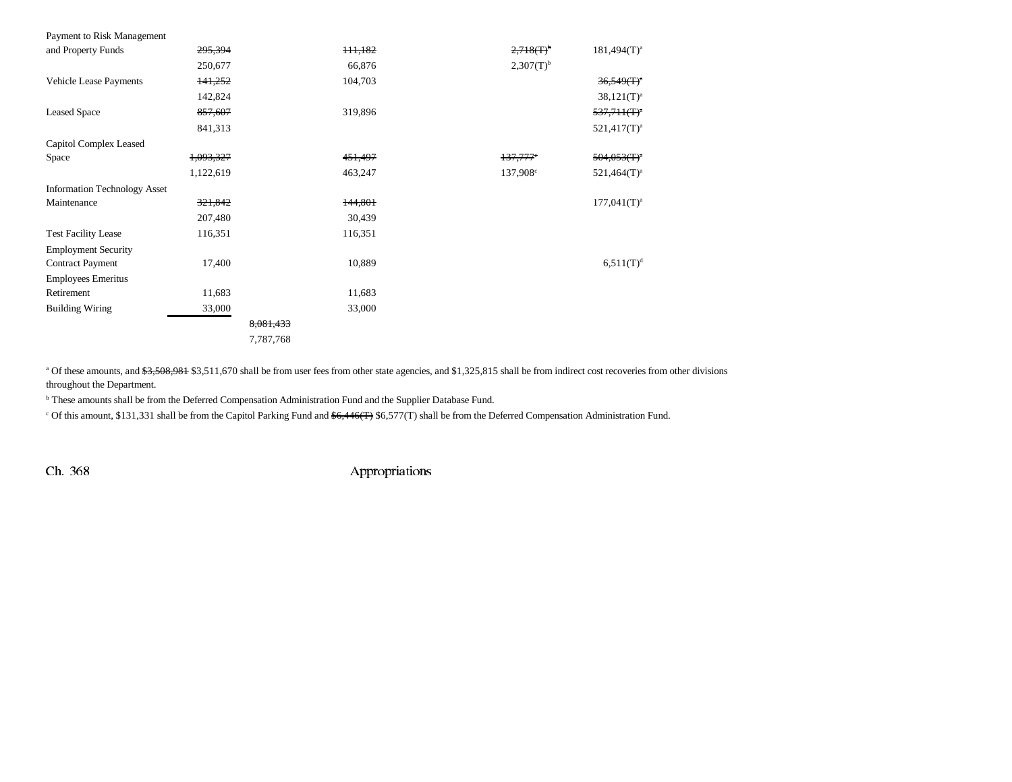| Payment to Risk Management          |                    |                     |                |                                          |
|-------------------------------------|--------------------|---------------------|----------------|------------------------------------------|
| and Property Funds                  | 295,394            | 111,182             | $2,718(T)^6$   | $181,494(T)^a$                           |
|                                     | 250,677            | 66,876              | $2,307(T)^{b}$ |                                          |
| Vehicle Lease Payments              | 141,252            | 104,703             |                | $36,549(T)^a$                            |
|                                     | 142,824            |                     |                | $38,121(T)^{a}$                          |
| <b>Leased Space</b>                 | 857,607            | 319,896             |                | $537,711$ $($ T $)^a$                    |
|                                     | 841,313            |                     |                | $521,417(T)^a$                           |
| Capitol Complex Leased              |                    |                     |                |                                          |
| Space                               | 1,093,327          | 4 <del>51,497</del> | 137,777        | $504,053$ $\textcircled{r}$ <sup>a</sup> |
|                                     | 1,122,619          | 463,247             | 137,908°       | $521,464(T)^a$                           |
| <b>Information Technology Asset</b> |                    |                     |                |                                          |
| Maintenance                         | <del>321,842</del> | 144,801             |                | $177,041$ (T) <sup>a</sup>               |
|                                     | 207,480            | 30,439              |                |                                          |
| <b>Test Facility Lease</b>          | 116,351            | 116,351             |                |                                          |
| <b>Employment Security</b>          |                    |                     |                |                                          |
| <b>Contract Payment</b>             | 17,400             | 10,889              |                | $6,511(T)^d$                             |
| <b>Employees Emeritus</b>           |                    |                     |                |                                          |
| Retirement                          | 11,683             | 11,683              |                |                                          |
| <b>Building Wiring</b>              | 33,000             | 33,000              |                |                                          |
|                                     | 8,081,433          |                     |                |                                          |
|                                     | 7,787,768          |                     |                |                                          |

<sup>a</sup> Of these amounts, and \$3,508,981 \$3,511,670 shall be from user fees from other state agencies, and \$1,325,815 shall be from indirect cost recoveries from other divisions throughout the Department.

**b** These amounts shall be from the Deferred Compensation Administration Fund and the Supplier Database Fund.

<sup>c</sup> Of this amount, \$131,331 shall be from the Capitol Parking Fund and \$6,446(T) \$6,577(T) shall be from the Deferred Compensation Administration Fund.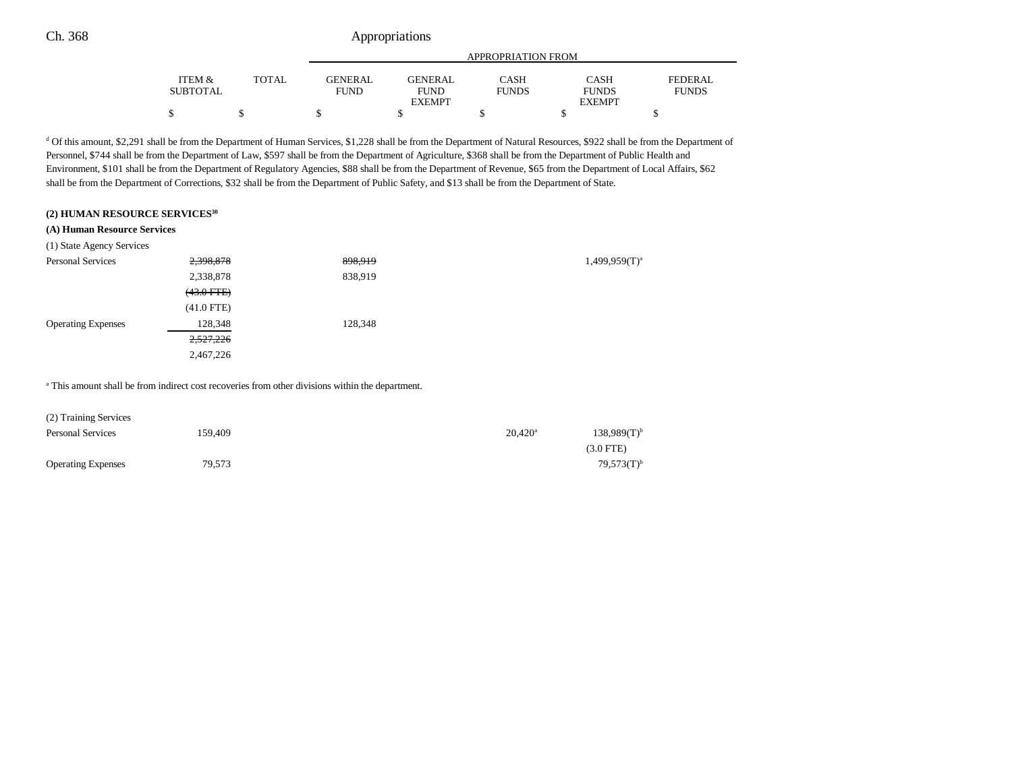|                 |       |                | APPROPRIATION FROM |              |               |              |  |
|-----------------|-------|----------------|--------------------|--------------|---------------|--------------|--|
| ITEM &          | TOTAL | <b>GENERAL</b> | GENERAL            | CASH         | <b>CASH</b>   | FEDERAL      |  |
| <b>SUBTOTAL</b> |       | <b>FUND</b>    | <b>FUND</b>        | <b>FUNDS</b> | <b>FUNDS</b>  | <b>FUNDS</b> |  |
|                 |       |                | <b>EXEMPT</b>      |              | <b>EXEMPT</b> |              |  |
|                 |       |                |                    |              |               |              |  |

<sup>d</sup> Of this amount, \$2,291 shall be from the Department of Human Services, \$1,228 shall be from the Department of Natural Resources, \$922 shall be from the Department of Personnel, \$744 shall be from the Department of Law, \$597 shall be from the Department of Agriculture, \$368 shall be from the Department of Public Health and Environment, \$101 shall be from the Department of Regulatory Agencies, \$88 shall be from the Department of Revenue, \$65 from the Department of Local Affairs, \$62 shall be from the Department of Corrections, \$32 shall be from the Department of Public Safety, and \$13 shall be from the Department of State.

#### **(2) HUMAN RESOURCE SERVICES30**

#### **(A) Human Resource Services**

| (1) State Agency Services |                 |         |                    |
|---------------------------|-----------------|---------|--------------------|
| Personal Services         | 2,398,878       | 898,919 | $1,499,959(T)^{a}$ |
|                           | 2,338,878       | 838,919 |                    |
|                           | $(43.0$ FTE $)$ |         |                    |
|                           | $(41.0$ FTE)    |         |                    |
| <b>Operating Expenses</b> | 128,348         | 128,348 |                    |
|                           | 2,527,226       |         |                    |
|                           | 2,467,226       |         |                    |

<sup>a</sup> This amount shall be from indirect cost recoveries from other divisions within the department.

| (2) Training Services     |         |                       |                  |
|---------------------------|---------|-----------------------|------------------|
| <b>Personal Services</b>  | 159.409 | $20.420$ <sup>a</sup> | $138,989(T)^{b}$ |
|                           |         |                       | $(3.0$ FTE)      |
| <b>Operating Expenses</b> | 79,573  |                       | $79.573(T)^{b}$  |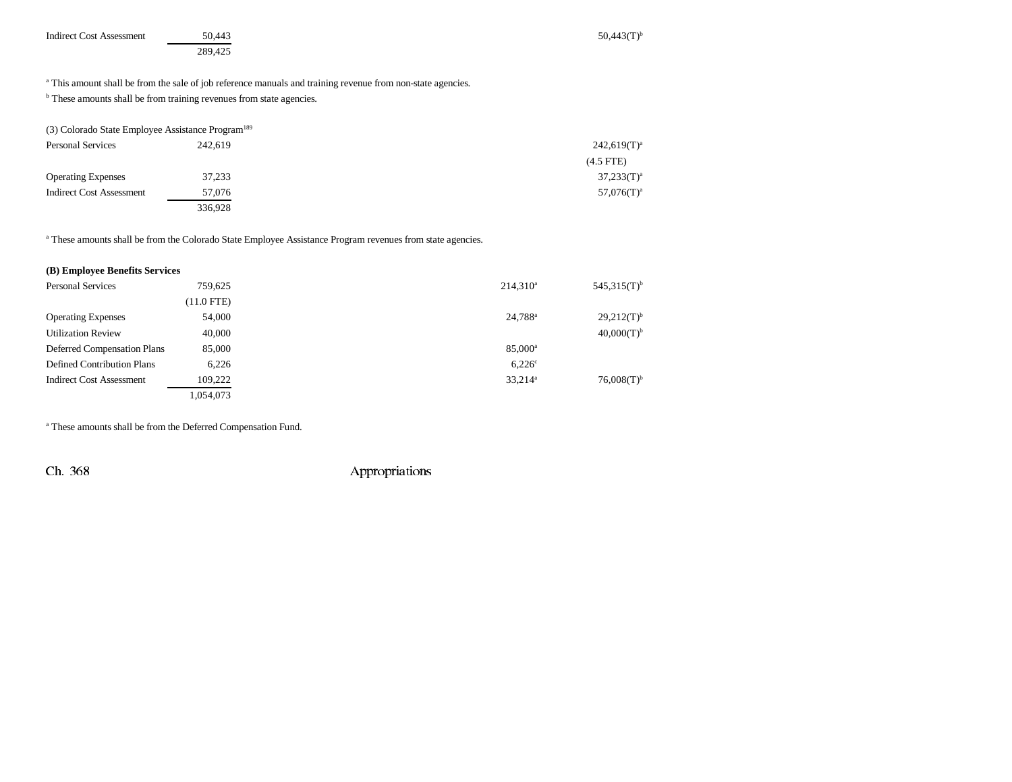| <b>Indirect Cost Assessment</b> | 50.443  | $50.443(T)$ <sup>b</sup> |
|---------------------------------|---------|--------------------------|
|                                 | 289.425 |                          |

<sup>a</sup> This amount shall be from the sale of job reference manuals and training revenue from non-state agencies.

 $<sup>b</sup>$  These amounts shall be from training revenues from state agencies.</sup>

| (3) Colorado State Employee Assistance Program <sup>189</sup> |         |                |
|---------------------------------------------------------------|---------|----------------|
| <b>Personal Services</b>                                      | 242.619 | $242,619(T)^a$ |
|                                                               |         | $(4.5$ FTE)    |
| <b>Operating Expenses</b>                                     | 37.233  | $37,233(T)^a$  |
| <b>Indirect Cost Assessment</b>                               | 57,076  | $57,076(T)^a$  |
|                                                               | 336,928 |                |

<sup>a</sup> These amounts shall be from the Colorado State Employee Assistance Program revenues from state agencies.

## **(B) Employee Benefits Services**

| <b>Personal Services</b>          | 759.625    | $214,310^a$         | $545.315(T)$ <sup>b</sup> |
|-----------------------------------|------------|---------------------|---------------------------|
|                                   | (11.0 FTE) |                     |                           |
| <b>Operating Expenses</b>         | 54,000     | 24,788 <sup>a</sup> | $29,212(T)^{b}$           |
| <b>Utilization Review</b>         | 40,000     |                     | $40,000(T)^{b}$           |
| Deferred Compensation Plans       | 85,000     | 85.000 <sup>a</sup> |                           |
| <b>Defined Contribution Plans</b> | 6.226      | $6,226^\circ$       |                           |
| <b>Indirect Cost Assessment</b>   | 109.222    | 33,214 <sup>a</sup> | $76,008(T)$ <sup>b</sup>  |
|                                   | 1,054,073  |                     |                           |

a These amounts shall be from the Deferred Compensation Fund.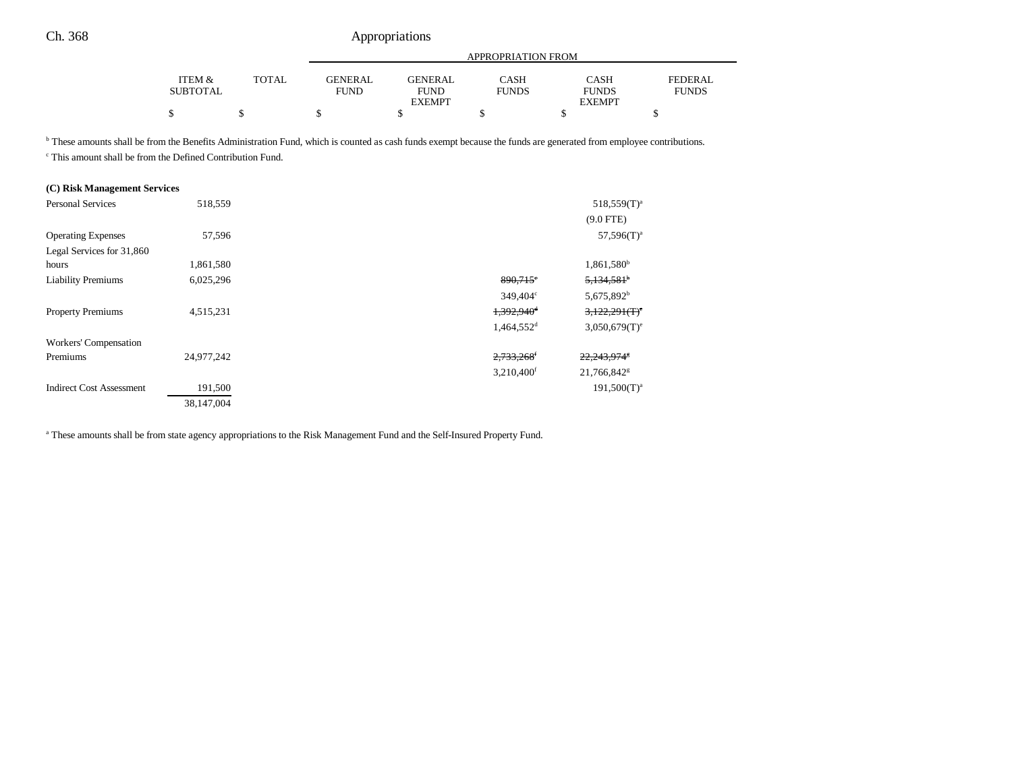|                                      |       |                               | APPROPRIATION FROM            |                      |                             |                         |
|--------------------------------------|-------|-------------------------------|-------------------------------|----------------------|-----------------------------|-------------------------|
| <b>ITEM &amp;</b><br><b>SUBTOTAL</b> | TOTAL | <b>GENERAL</b><br><b>FUND</b> | <b>GENERAL</b><br><b>FUND</b> | CASH<br><b>FUNDS</b> | <b>CASH</b><br><b>FUNDS</b> | FEDERAL<br><b>FUNDS</b> |
|                                      |       |                               | <b>EXEMPT</b>                 |                      | <b>EXEMPT</b>               |                         |
|                                      |       |                               |                               |                      |                             |                         |

<sup>b</sup> These amounts shall be from the Benefits Administration Fund, which is counted as cash funds exempt because the funds are generated from employee contributions.

c This amount shall be from the Defined Contribution Fund.

| (C) Risk Management Services    |            |                          |                             |
|---------------------------------|------------|--------------------------|-----------------------------|
| <b>Personal Services</b>        | 518,559    |                          | $518,559(T)^a$              |
|                                 |            |                          | $(9.0$ FTE)                 |
| <b>Operating Expenses</b>       | 57,596     |                          | $57,596(T)^a$               |
| Legal Services for 31,860       |            |                          |                             |
| hours                           | 1,861,580  |                          | 1,861,580 <sup>b</sup>      |
| <b>Liability Premiums</b>       | 6,025,296  | $890,715$ °              | $5,134,581$ <sup>b</sup>    |
|                                 |            | $349.404^{\circ}$        | 5,675,892 <sup>b</sup>      |
| <b>Property Premiums</b>        | 4,515,231  | 1,392,940 <sup>d</sup>   | 3,122,291(T)                |
|                                 |            | $1,464,552$ <sup>d</sup> | $3,050,679(T)$ <sup>e</sup> |
| Workers' Compensation           |            |                          |                             |
| Premiums                        | 24,977,242 | 2,733,268 <sup>f</sup>   | 22,243,974                  |
|                                 |            | $3,210,400$ <sup>f</sup> | 21,766,842 <sup>g</sup>     |
| <b>Indirect Cost Assessment</b> | 191,500    |                          | $191,500(T)^{a}$            |
|                                 | 38,147,004 |                          |                             |

a These amounts shall be from state agency appropriations to the Risk Management Fund and the Self-Insured Property Fund.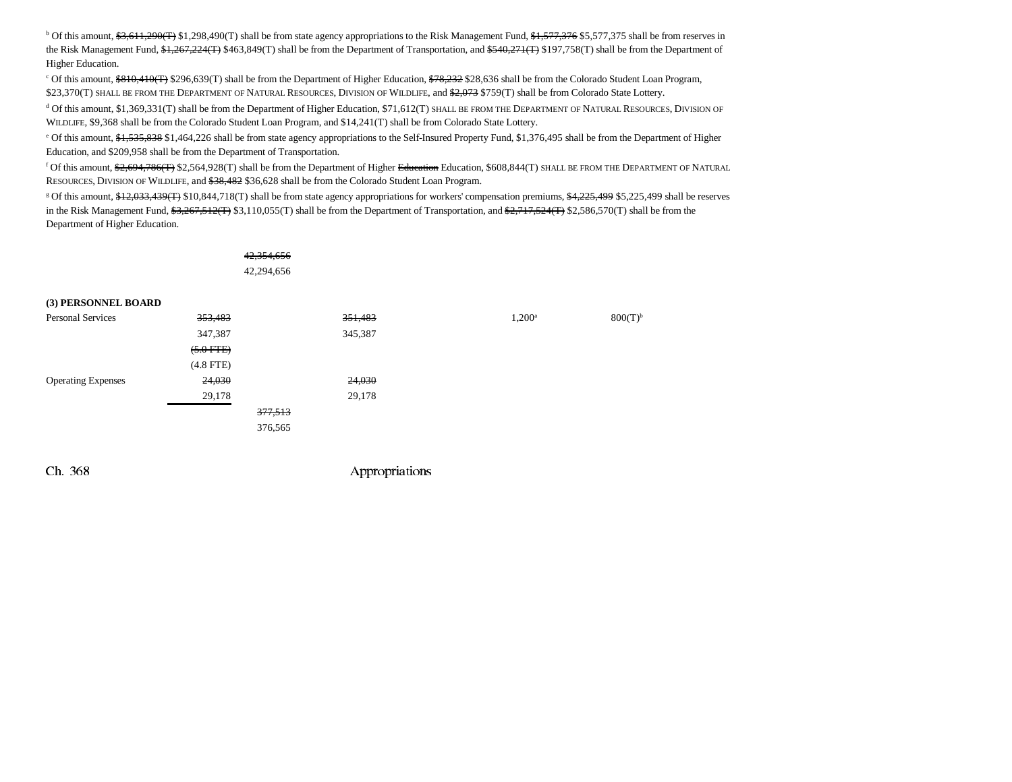<sup>b</sup> Of this amount, \$3,611,290(T) \$1,298,490(T) shall be from state agency appropriations to the Risk Management Fund, \$1,577,376 \$5,577,375 shall be from reserves in the Risk Management Fund, \$1,267,224(T) \$463,849(T) shall be from the Department of Transportation, and \$540,271(T) \$197,758(T) shall be from the Department of Higher Education.

<sup>c</sup> Of this amount, \$810,410(T) \$296,639(T) shall be from the Department of Higher Education, \$78,232 \$28,636 shall be from the Colorado Student Loan Program, \$23,370(T) SHALL BE FROM THE DEPARTMENT OF NATURAL RESOURCES, DIVISION OF WILDLIFE, and <del>\$2,073</del> \$759(T) shall be from Colorado State Lottery.

d Of this amount, \$1,369,331(T) shall be from the Department of Higher Education, \$71,612(T) SHALL BE FROM THE DEPARTMENT OF NATURAL RESOURCES, DIVISION OF WILDLIFE, \$9,368 shall be from the Colorado Student Loan Program, and \$14,241(T) shall be from Colorado State Lottery.

<sup>e</sup> Of this amount, \$1,535,838 \$1,464,226 shall be from state agency appropriations to the Self-Insured Property Fund, \$1,376,495 shall be from the Department of Higher Education, and \$209,958 shall be from the Department of Transportation.

<sup>f</sup> Of this amount, <del>\$2,694,786(T)</del> \$2,564,928(T) shall be from the Department of Higher <del>Education</del> Education, \$608,844(T) SHALL BE FROM THE DEPARTMENT OF NATURAL RESOURCES, DIVISION OF WILDLIFE, and \$38,482 \$36,628 shall be from the Colorado Student Loan Program.

<sup>g</sup> Of this amount, \$12,033,439(T) \$10,844,718(T) shall be from state agency appropriations for workers' compensation premiums, \$4,225,499 \$5,225,499 shall be reserves in the Risk Management Fund, \$3,267,512(T) \$3,110,055(T) shall be from the Department of Transportation, and \$2,717,524(T) \$2,586,570(T) shall be from the Department of Higher Education.

|                           | 42,354,656<br>42,294,656 |         |                 |              |
|---------------------------|--------------------------|---------|-----------------|--------------|
| (3) PERSONNEL BOARD       |                          |         |                 |              |
| <b>Personal Services</b>  | 353,483                  | 351,483 | $1,200^{\rm a}$ | $800(T)^{6}$ |
|                           | 347,387                  | 345,387 |                 |              |
|                           | $(5.0$ FTE)              |         |                 |              |
|                           | $(4.8$ FTE)              |         |                 |              |
| <b>Operating Expenses</b> | 24,030                   | 24,030  |                 |              |
|                           | 29,178                   | 29,178  |                 |              |
|                           | 377,513                  |         |                 |              |
|                           | 376,565                  |         |                 |              |
|                           |                          |         |                 |              |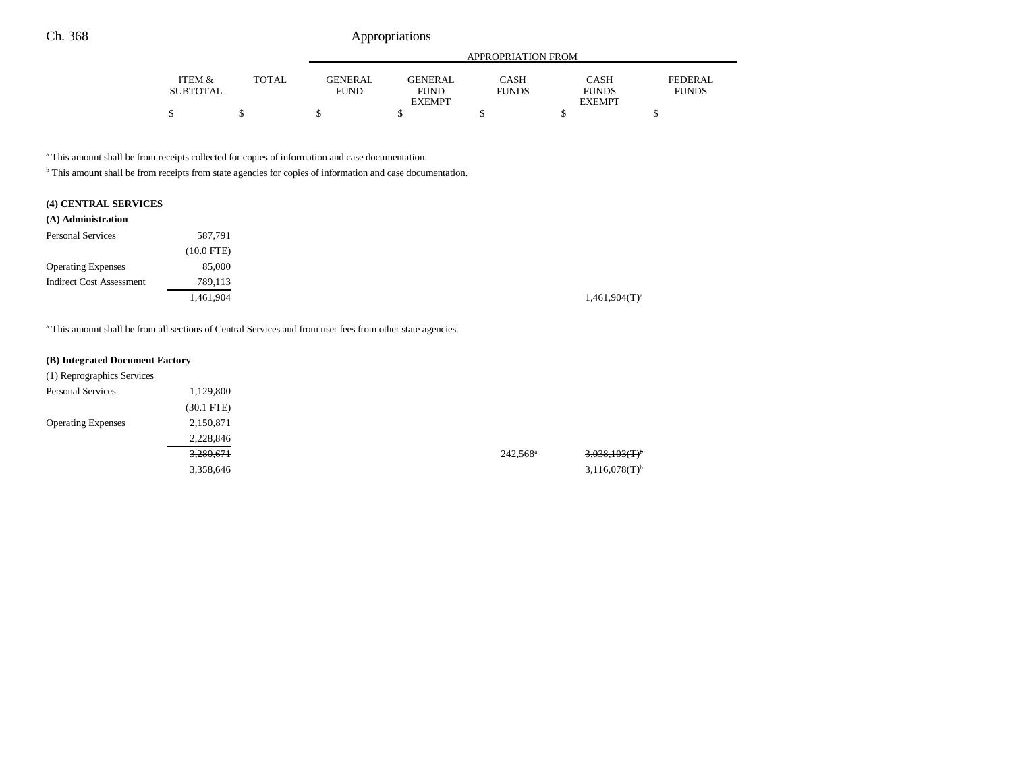|                 |              |                | APPROPRIATION FROM |              |               |              |  |
|-----------------|--------------|----------------|--------------------|--------------|---------------|--------------|--|
| ITEM &          | <b>TOTAL</b> | <b>GENERAL</b> | <b>GENERAL</b>     | CASH         | <b>CASH</b>   | FEDERAL.     |  |
| <b>SUBTOTAL</b> |              | <b>FUND</b>    | <b>FUND</b>        | <b>FUNDS</b> | <b>FUNDS</b>  | <b>FUNDS</b> |  |
|                 |              |                | <b>EXEMPT</b>      |              | <b>EXEMPT</b> |              |  |
|                 |              |                |                    |              |               |              |  |

a This amount shall be from receipts collected for copies of information and case documentation.

b This amount shall be from receipts from state agencies for copies of information and case documentation.

## **(4) CENTRAL SERVICES**

| (A) Administration              |              |
|---------------------------------|--------------|
| <b>Personal Services</b>        | 587,791      |
|                                 | $(10.0$ FTE) |
| <b>Operating Expenses</b>       | 85,000       |
| <b>Indirect Cost Assessment</b> | 789,113      |
|                                 | 1,461,904    |

<sup>a</sup> This amount shall be from all sections of Central Services and from user fees from other state agencies.

#### **(B) Integrated Document Factory**

| (1) Reprographics Services |              |                   |                              |
|----------------------------|--------------|-------------------|------------------------------|
| <b>Personal Services</b>   | 1,129,800    |                   |                              |
|                            | $(30.1$ FTE) |                   |                              |
| <b>Operating Expenses</b>  | 2,150,871    |                   |                              |
|                            | 2,228,846    |                   |                              |
|                            | 3,280,671    | $242,568^{\rm a}$ | $3,038,103$ (T) <sup>b</sup> |
|                            | 3,358,646    |                   | $3,116,078(T)$ <sup>b</sup>  |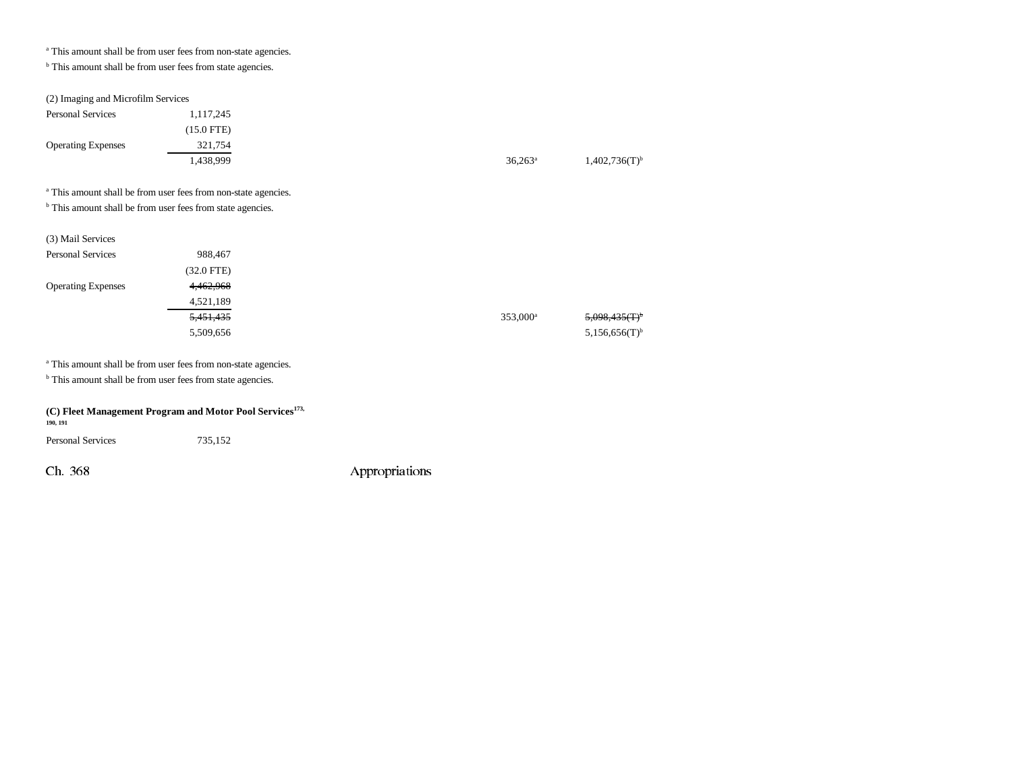a This amount shall be from user fees from non-state agencies.

<sup>b</sup> This amount shall be from user fees from state agencies.

(2) Imaging and Microfilm Services

| <b>Personal Services</b>                                                  | 1,117,245    |  |                      |                             |
|---------------------------------------------------------------------------|--------------|--|----------------------|-----------------------------|
|                                                                           | $(15.0$ FTE) |  |                      |                             |
| <b>Operating Expenses</b>                                                 | 321,754      |  |                      |                             |
|                                                                           | 1,438,999    |  | $36,263^a$           | $1,402,736(T)$ <sup>b</sup> |
|                                                                           |              |  |                      |                             |
| <sup>a</sup> This amount shall be from user fees from non-state agencies. |              |  |                      |                             |
| <sup>b</sup> This amount shall be from user fees from state agencies.     |              |  |                      |                             |
|                                                                           |              |  |                      |                             |
| (3) Mail Services                                                         |              |  |                      |                             |
| <b>Personal Services</b>                                                  | 988,467      |  |                      |                             |
|                                                                           | $(32.0$ FTE) |  |                      |                             |
| <b>Operating Expenses</b>                                                 | 4,462,968    |  |                      |                             |
|                                                                           | 4,521,189    |  |                      |                             |
|                                                                           | 5,451,435    |  | 353,000 <sup>a</sup> | <del>5.098.435(T)</del>     |

a This amount shall be from user fees from non-state agencies.

**b** This amount shall be from user fees from state agencies.

| $(C)$ Fleet Management Program and Motor Pool Services <sup>173,</sup> |  |
|------------------------------------------------------------------------|--|
| 190, 191                                                               |  |

Personal Services 735,152

Ch. 368 Appropriations

 $5,509,656$   $5,156,656$ (T)<sup>b</sup>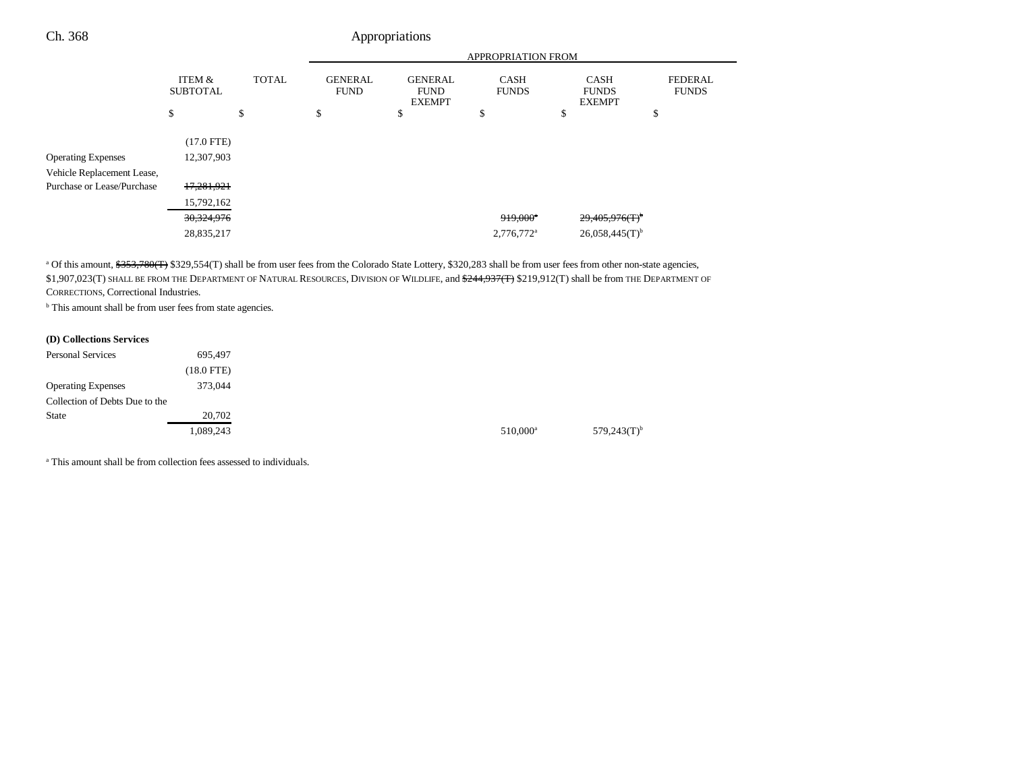|                            |                           |              | <b>APPROPRIATION FROM</b>     |                                                |                             |                                              |                                |
|----------------------------|---------------------------|--------------|-------------------------------|------------------------------------------------|-----------------------------|----------------------------------------------|--------------------------------|
|                            | ITEM &<br><b>SUBTOTAL</b> | <b>TOTAL</b> | <b>GENERAL</b><br><b>FUND</b> | <b>GENERAL</b><br><b>FUND</b><br><b>EXEMPT</b> | <b>CASH</b><br><b>FUNDS</b> | <b>CASH</b><br><b>FUNDS</b><br><b>EXEMPT</b> | <b>FEDERAL</b><br><b>FUNDS</b> |
|                            | \$                        | \$           | \$                            | \$                                             | \$                          | \$                                           | \$                             |
|                            | $(17.0$ FTE)              |              |                               |                                                |                             |                                              |                                |
| <b>Operating Expenses</b>  | 12,307,903                |              |                               |                                                |                             |                                              |                                |
| Vehicle Replacement Lease, |                           |              |                               |                                                |                             |                                              |                                |
| Purchase or Lease/Purchase | 17,281,921                |              |                               |                                                |                             |                                              |                                |
|                            | 15,792,162                |              |                               |                                                |                             |                                              |                                |
|                            | 30,324,976                |              |                               |                                                | $919,000$ <sup>*</sup>      | 29,405,976(T)                                |                                |
|                            | 28,835,217                |              |                               |                                                | 2,776,772 <sup>a</sup>      | $26,058,445(T)$ <sup>b</sup>                 |                                |
|                            |                           |              |                               |                                                |                             |                                              |                                |

<sup>a</sup> Of this amount, \$353,780(T) \$329,554(T) shall be from user fees from the Colorado State Lottery, \$320,283 shall be from user fees from other non-state agencies, \$1,907,023(T) SHALL BE FROM THE DEPARTMENT OF NATURAL RESOURCES, DIVISION OF WILDLIFE, and <del>\$244,937(T)</del> \$219,912(T) shall be from THE DEPARTMENT OF CORRECTIONS, Correctional Industries.

 $510,000^a$   $579,243$ (T)<sup>b</sup>

**b** This amount shall be from user fees from state agencies.

#### **(D) Collections Services**

| <b>Personal Services</b>       | 695,497      |
|--------------------------------|--------------|
|                                | $(18.0$ FTE) |
| <b>Operating Expenses</b>      | 373,044      |
| Collection of Debts Due to the |              |
| <b>State</b>                   | 20,702       |
|                                | 1.089.243    |

<sup>a</sup> This amount shall be from collection fees assessed to individuals.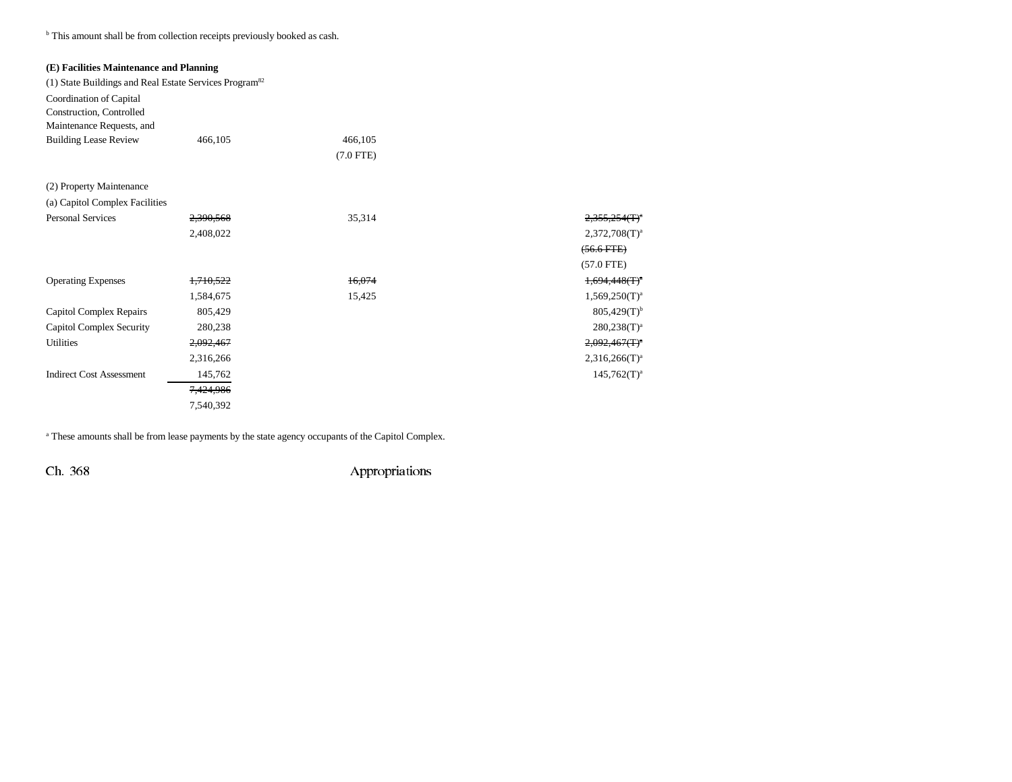<sup>b</sup> This amount shall be from collection receipts previously booked as cash.

## **(E) Facilities Maintenance and Planning**

| (1) State Buildings and Real Estate Services Program <sup>82</sup> |           |             |                                               |
|--------------------------------------------------------------------|-----------|-------------|-----------------------------------------------|
| Coordination of Capital                                            |           |             |                                               |
| Construction, Controlled                                           |           |             |                                               |
| Maintenance Requests, and                                          |           |             |                                               |
| <b>Building Lease Review</b>                                       | 466,105   | 466,105     |                                               |
|                                                                    |           | $(7.0$ FTE) |                                               |
| (2) Property Maintenance                                           |           |             |                                               |
| (a) Capitol Complex Facilities                                     |           |             |                                               |
| <b>Personal Services</b>                                           | 2,390,568 | 35,314      | $2.355.254$ (T) <sup><math>\circ</math></sup> |
|                                                                    | 2,408,022 |             | $2,372,708(T)^3$                              |
|                                                                    |           |             | $(56.6$ FTE $)$                               |
|                                                                    |           |             | $(57.0$ FTE)                                  |
| <b>Operating Expenses</b>                                          | 1,710,522 | 16,074      | $1,694,448$ (T) <sup>o</sup>                  |
|                                                                    | 1,584,675 | 15,425      | $1,569,250(T)^3$                              |
| Capitol Complex Repairs                                            | 805,429   |             | $805,429(T)^{b}$                              |
| Capitol Complex Security                                           | 280,238   |             | $280,238(T)^3$                                |
| <b>Utilities</b>                                                   | 2,092,467 |             | 2,092,467(T)                                  |
|                                                                    | 2,316,266 |             | $2,316,266(T)^3$                              |
| <b>Indirect Cost Assessment</b>                                    | 145,762   |             | $145,762(T)^3$                                |
|                                                                    | 7,424,986 |             |                                               |
|                                                                    | 7,540,392 |             |                                               |

a These amounts shall be from lease payments by the state agency occupants of the Capitol Complex.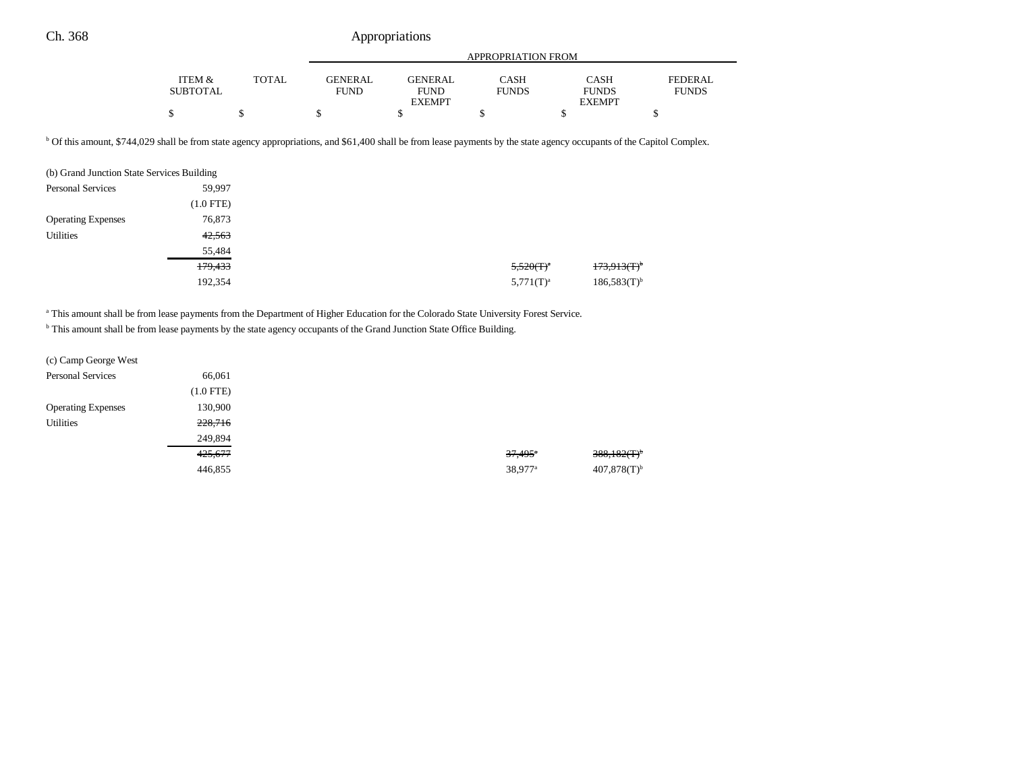|                 |       |         | APPROPRIATION FROM |              |               |              |
|-----------------|-------|---------|--------------------|--------------|---------------|--------------|
|                 |       |         |                    |              |               |              |
| ITEM &          | TOTAL | GENERAL | <b>GENERAL</b>     | <b>CASH</b>  | CASH          | FEDERAL      |
| <b>SUBTOTAL</b> |       | FUND.   | <b>FUND</b>        | <b>FUNDS</b> | <b>FUNDS</b>  | <b>FUNDS</b> |
|                 |       |         | <b>EXEMPT</b>      |              | <b>EXEMPT</b> |              |
|                 |       |         |                    |              |               |              |

b Of this amount, \$744,029 shall be from state agency appropriations, and \$61,400 shall be from lease payments by the state agency occupants of the Capitol Complex.

| (b) Grand Junction State Services Building |             |
|--------------------------------------------|-------------|
| <b>Personal Services</b>                   | 59,997      |
|                                            | $(1.0$ FTE) |
| <b>Operating Expenses</b>                  | 76,873      |
| <b>Utilities</b>                           | 42,563      |
|                                            | 55,484      |
|                                            | 179,433     |
|                                            | 192,354     |

<sup>a</sup> This amount shall be from lease payments from the Department of Higher Education for the Colorado State University Forest Service.

b This amount shall be from lease payments by the state agency occupants of the Grand Junction State Office Building.

| (c) Camp George West      |             |
|---------------------------|-------------|
| <b>Personal Services</b>  | 66,061      |
|                           | $(1.0$ FTE) |
| <b>Operating Expenses</b> | 130,900     |
| <b>Utilities</b>          | 228,716     |
|                           | 249,894     |
|                           | 425,677     |
|                           | 446,855     |
|                           |             |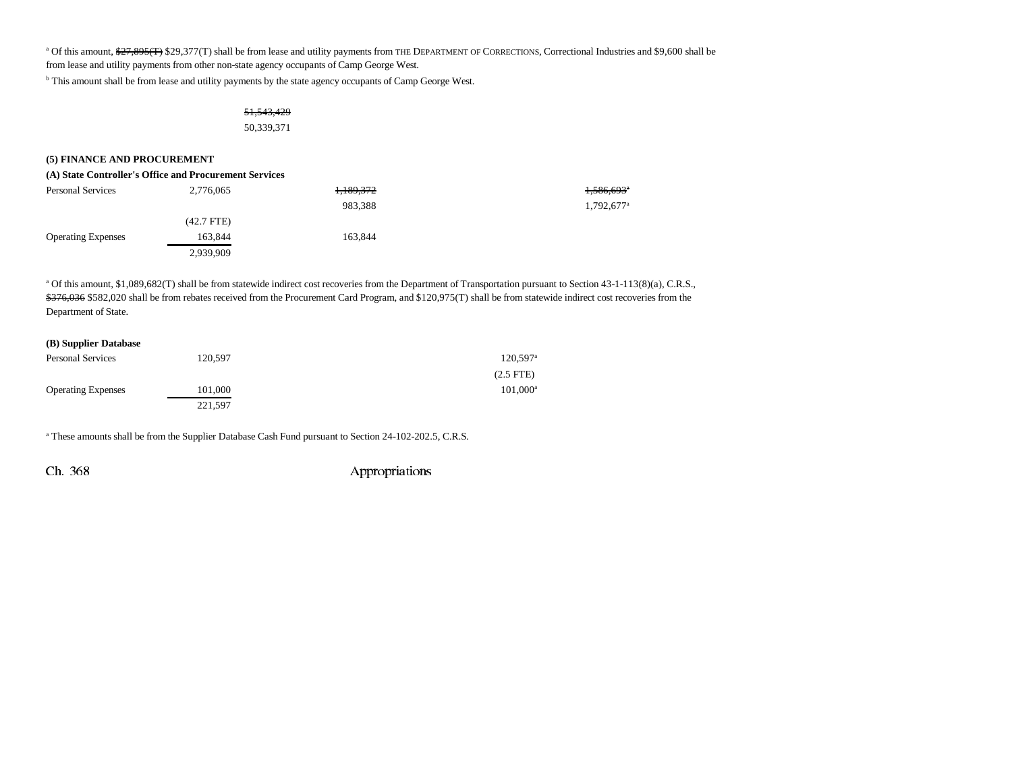<sup>a</sup> Of this amount, \$<del>27,895(T)</del> \$29,377(T) shall be from lease and utility payments from THE DEPARTMENT OF CORRECTIONS, Correctional Industries and \$9,600 shall be

from lease and utility payments from other non-state agency occupants of Camp George West.

b This amount shall be from lease and utility payments by the state agency occupants of Camp George West.

## 51,543,429 50,339,371

#### **(5) FINANCE AND PROCUREMENT**

| (A) State Controller's Office and Procurement Services |  |
|--------------------------------------------------------|--|
|--------------------------------------------------------|--|

| <b>Personal Services</b>  | 2,776,065  | <del>1,189,372</del> | <del>1,586,693</del> |
|---------------------------|------------|----------------------|----------------------|
|                           |            | 983.388              | 1,792,677            |
|                           | (42.7 FTE) |                      |                      |
| <b>Operating Expenses</b> | 163,844    | 163.844              |                      |
|                           | 2,939,909  |                      |                      |

a Of this amount, \$1,089,682(T) shall be from statewide indirect cost recoveries from the Department of Transportation pursuant to Section 43-1-113(8)(a), C.R.S., \$376,036 \$582,020 shall be from rebates received from the Procurement Card Program, and \$120,975(T) shall be from statewide indirect cost recoveries from the Department of State.

| (B) Supplier Database     |         |                        |
|---------------------------|---------|------------------------|
| <b>Personal Services</b>  | 120.597 | $120,597$ <sup>a</sup> |
|                           |         | $(2.5$ FTE)            |
| <b>Operating Expenses</b> | 101.000 | 101,000 <sup>a</sup>   |
|                           | 221,597 |                        |

a These amounts shall be from the Supplier Database Cash Fund pursuant to Section 24-102-202.5, C.R.S.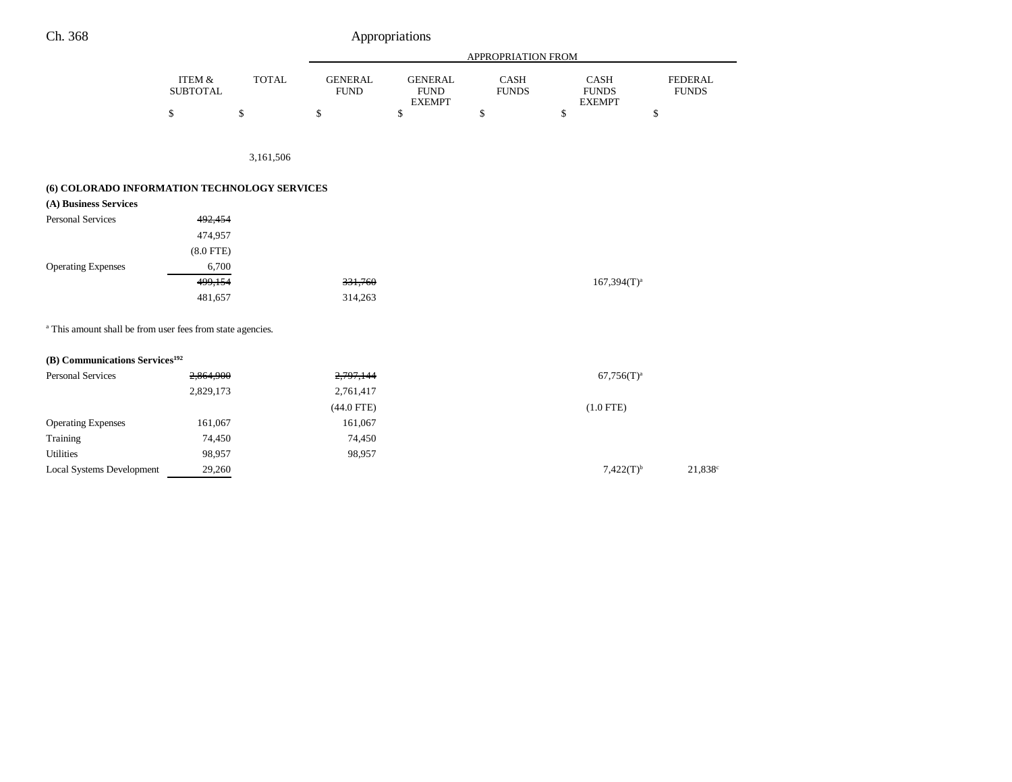|                                                                       |                           |              | APPROPRIATION FROM            |                                                |                             |                                              |                                |
|-----------------------------------------------------------------------|---------------------------|--------------|-------------------------------|------------------------------------------------|-----------------------------|----------------------------------------------|--------------------------------|
|                                                                       | ITEM &<br><b>SUBTOTAL</b> | <b>TOTAL</b> | <b>GENERAL</b><br><b>FUND</b> | <b>GENERAL</b><br><b>FUND</b><br><b>EXEMPT</b> | <b>CASH</b><br><b>FUNDS</b> | <b>CASH</b><br><b>FUNDS</b><br><b>EXEMPT</b> | <b>FEDERAL</b><br><b>FUNDS</b> |
|                                                                       | \$                        | \$           | \$                            | \$                                             | \$                          | \$                                           | \$                             |
|                                                                       |                           |              |                               |                                                |                             |                                              |                                |
|                                                                       |                           | 3,161,506    |                               |                                                |                             |                                              |                                |
| (6) COLORADO INFORMATION TECHNOLOGY SERVICES                          |                           |              |                               |                                                |                             |                                              |                                |
| (A) Business Services                                                 |                           |              |                               |                                                |                             |                                              |                                |
| <b>Personal Services</b>                                              | 492,454                   |              |                               |                                                |                             |                                              |                                |
|                                                                       | 474,957                   |              |                               |                                                |                             |                                              |                                |
|                                                                       | $(8.0$ FTE)               |              |                               |                                                |                             |                                              |                                |
| <b>Operating Expenses</b>                                             | 6,700                     |              |                               |                                                |                             |                                              |                                |
|                                                                       | 499,154                   |              | 331,760                       |                                                |                             | $167,394(T)^a$                               |                                |
|                                                                       | 481,657                   |              | 314,263                       |                                                |                             |                                              |                                |
| <sup>a</sup> This amount shall be from user fees from state agencies. |                           |              |                               |                                                |                             |                                              |                                |
| (B) Communications Services <sup>192</sup>                            |                           |              |                               |                                                |                             |                                              |                                |
| <b>Personal Services</b>                                              | 2,864,900                 |              | 2,797,144                     |                                                |                             | $67,756(T)^a$                                |                                |
|                                                                       | 2,829,173                 |              | 2,761,417                     |                                                |                             |                                              |                                |
|                                                                       |                           |              | $(44.0$ FTE)                  |                                                |                             | $(1.0$ FTE)                                  |                                |
| <b>Operating Expenses</b>                                             | 161,067                   |              | 161,067                       |                                                |                             |                                              |                                |
| Training                                                              | 74,450                    |              | 74,450                        |                                                |                             |                                              |                                |
| <b>Utilities</b>                                                      | 98,957                    |              | 98,957                        |                                                |                             |                                              |                                |
| Local Systems Development                                             | 29,260                    |              |                               |                                                |                             | $7,422(T)^{b}$                               | 21,838 <sup>c</sup>            |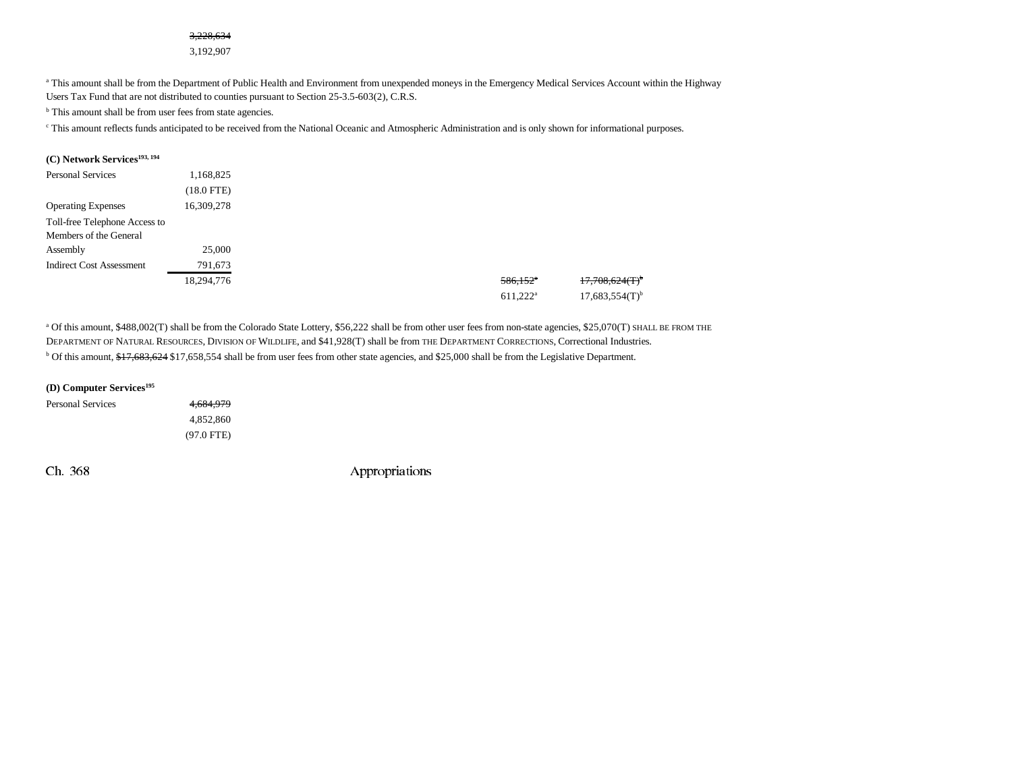#### 3,228,634

3,192,907

<sup>a</sup> This amount shall be from the Department of Public Health and Environment from unexpended moneys in the Emergency Medical Services Account within the Highway Users Tax Fund that are not distributed to counties pursuant to Section 25-3.5-603(2), C.R.S.

<sup>b</sup> This amount shall be from user fees from state agencies.

<sup>c</sup> This amount reflects funds anticipated to be received from the National Oceanic and Atmospheric Administration and is only shown for informational purposes.

| (C) Network Services <sup>193, 194</sup> |            |
|------------------------------------------|------------|
| <b>Personal Services</b>                 | 1,168,825  |
|                                          | (18.0 FTE) |
| <b>Operating Expenses</b>                | 16,309,278 |
| Toll-free Telephone Access to            |            |
| Members of the General                   |            |
| Assembly                                 | 25,000     |
| <b>Indirect Cost Assessment</b>          | 791,673    |
|                                          | 18,294,776 |
|                                          |            |

a Of this amount, \$488,002(T) shall be from the Colorado State Lottery, \$56,222 shall be from other user fees from non-state agencies, \$25,070(T) SHALL BE FROM THE DEPARTMENT OF NATURAL RESOURCES, DIVISION OF WILDLIFE, and \$41,928(T) shall be from THE DEPARTMENT CORRECTIONS, Correctional Industries. <sup>b</sup> Of this amount, \$17,683,624 \$17,658,554 shall be from user fees from other state agencies, and \$25,000 shall be from the Legislative Department.

| 4,684,979    |
|--------------|
| 4.852.860    |
| $(97.0$ FTE) |
|              |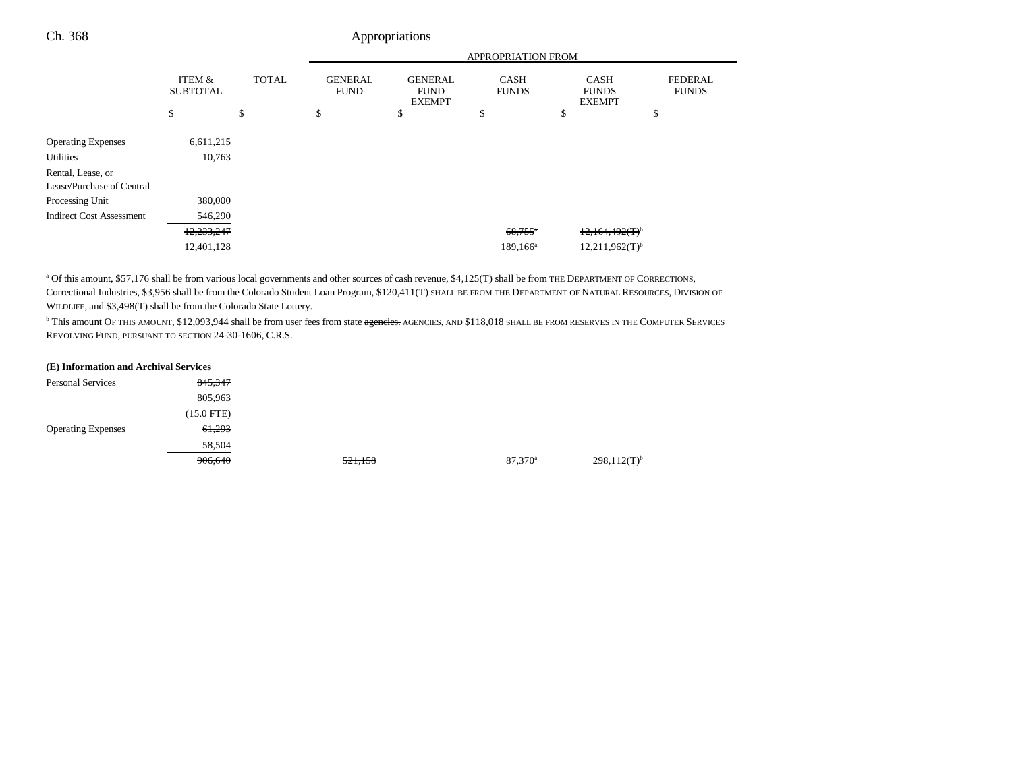|                                 |                           |              | <b>APPROPRIATION FROM</b>     |                                                |                             |                                              |                                |  |
|---------------------------------|---------------------------|--------------|-------------------------------|------------------------------------------------|-----------------------------|----------------------------------------------|--------------------------------|--|
|                                 | ITEM &<br><b>SUBTOTAL</b> | <b>TOTAL</b> | <b>GENERAL</b><br><b>FUND</b> | <b>GENERAL</b><br><b>FUND</b><br><b>EXEMPT</b> | <b>CASH</b><br><b>FUNDS</b> | <b>CASH</b><br><b>FUNDS</b><br><b>EXEMPT</b> | <b>FEDERAL</b><br><b>FUNDS</b> |  |
|                                 | \$                        | \$           | \$                            | \$                                             | \$                          | \$                                           | \$                             |  |
| <b>Operating Expenses</b>       | 6,611,215                 |              |                               |                                                |                             |                                              |                                |  |
| <b>Utilities</b>                | 10,763                    |              |                               |                                                |                             |                                              |                                |  |
| Rental, Lease, or               |                           |              |                               |                                                |                             |                                              |                                |  |
| Lease/Purchase of Central       |                           |              |                               |                                                |                             |                                              |                                |  |
| Processing Unit                 | 380,000                   |              |                               |                                                |                             |                                              |                                |  |
| <b>Indirect Cost Assessment</b> | 546,290                   |              |                               |                                                |                             |                                              |                                |  |
|                                 | 12,233,247                |              |                               |                                                | $68,755$ <sup>*</sup>       | 12,164,492(T)                                |                                |  |
|                                 | 12,401,128                |              |                               |                                                | $189, 166^a$                | $12,211,962(T)$ <sup>b</sup>                 |                                |  |
|                                 |                           |              |                               |                                                |                             |                                              |                                |  |

<sup>a</sup> Of this amount, \$57,176 shall be from various local governments and other sources of cash revenue, \$4,125(T) shall be from THE DEPARTMENT OF CORRECTIONS, Correctional Industries, \$3,956 shall be from the Colorado Student Loan Program, \$120,411(T) SHALL BE FROM THE DEPARTMENT OF NATURAL RESOURCES, DIVISION OF WILDLIFE, and \$3,498(T) shall be from the Colorado State Lottery.

<sup>b</sup> This amount OF THIS AMOUNT, \$12,093,944 shall be from user fees from state agencies. AGENCIES, AND \$118,018 SHALL BE FROM RESERVES IN THE COMPUTER SERVICES REVOLVING FUND, PURSUANT TO SECTION 24-30-1606, C.R.S.

| (E) Information and Archival Services |              |         |                  |                  |
|---------------------------------------|--------------|---------|------------------|------------------|
| <b>Personal Services</b>              | 845,347      |         |                  |                  |
|                                       | 805,963      |         |                  |                  |
|                                       | $(15.0$ FTE) |         |                  |                  |
| <b>Operating Expenses</b>             | 61,293       |         |                  |                  |
|                                       | 58,504       |         |                  |                  |
|                                       | 906,640      | 521,158 | $87.370^{\circ}$ | $298,112(T)^{b}$ |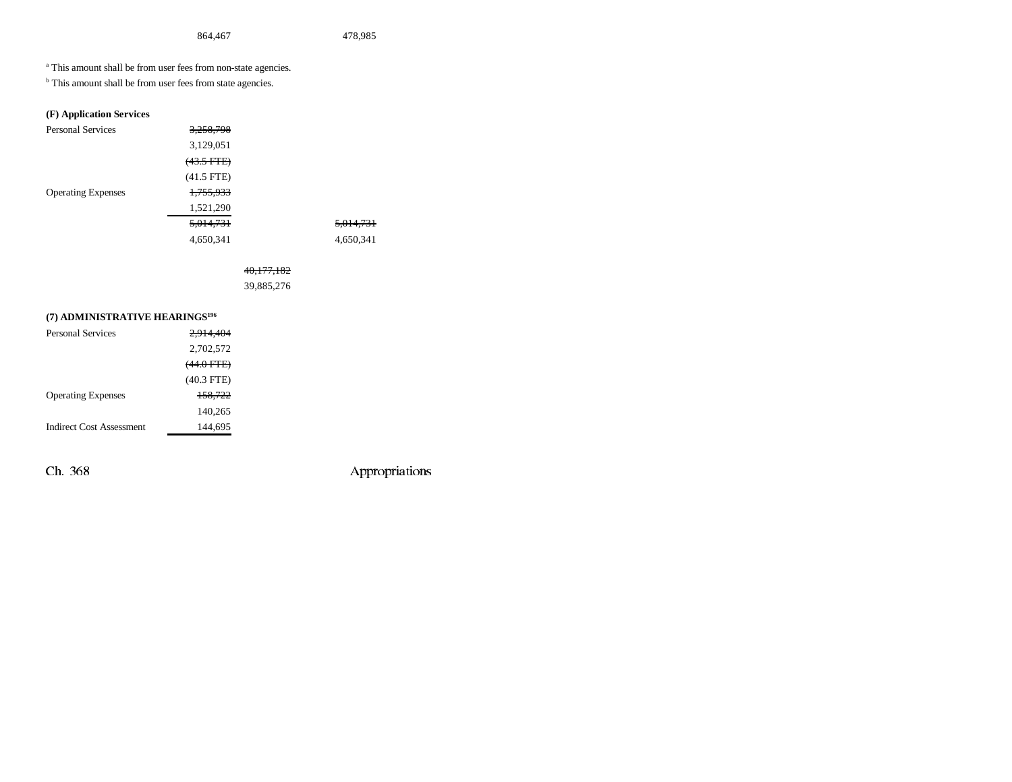a This amount shall be from user fees from non-state agencies.

<sup>b</sup> This amount shall be from user fees from state agencies.

## **(F) Application Services**

| <b>Personal Services</b>  | 3,258,798            |                      |
|---------------------------|----------------------|----------------------|
|                           | 3,129,051            |                      |
|                           | $(43.5 \text{ FFE})$ |                      |
|                           | $(41.5$ FTE)         |                      |
| <b>Operating Expenses</b> | <del>1,755,933</del> |                      |
|                           | 1,521,290            |                      |
|                           | 5,014,731            | <del>5,014,731</del> |
|                           | 4,650,341            | 4,650,341            |

## 40,177,182

39,885,276

## **(7) ADMINISTRATIVE HEARINGS196**

| Personal Services         | 2.914.404       |
|---------------------------|-----------------|
|                           | 2,702,572       |
|                           | $(44.0$ FTE $)$ |
|                           | $(40.3$ FTE)    |
| <b>Operating Expenses</b> | 158.722         |
|                           | 140.265         |
| Indirect Cost Assessment  | 144.695         |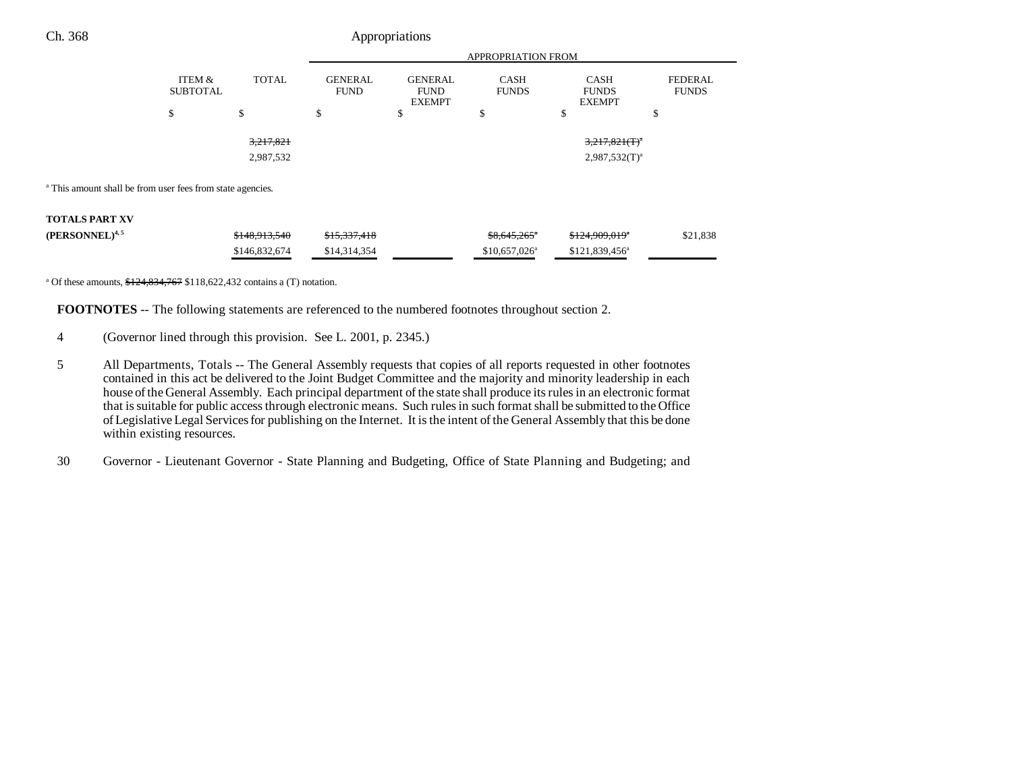## Ch. 368 Appropriations

|                                                                       |                           |               | <b>APPROPRIATION FROM</b>     |                                                |                             |                                              |                                |
|-----------------------------------------------------------------------|---------------------------|---------------|-------------------------------|------------------------------------------------|-----------------------------|----------------------------------------------|--------------------------------|
|                                                                       | ITEM &<br><b>SUBTOTAL</b> | <b>TOTAL</b>  | <b>GENERAL</b><br><b>FUND</b> | <b>GENERAL</b><br><b>FUND</b><br><b>EXEMPT</b> | <b>CASH</b><br><b>FUNDS</b> | <b>CASH</b><br><b>FUNDS</b><br><b>EXEMPT</b> | <b>FEDERAL</b><br><b>FUNDS</b> |
|                                                                       | \$                        | \$            | \$                            | \$                                             | \$                          | \$                                           | \$                             |
|                                                                       |                           | 3,217,821     |                               |                                                |                             | $3,217,821$ (T) <sup>a</sup>                 |                                |
|                                                                       |                           | 2,987,532     |                               |                                                |                             | $2,987,532(T)^a$                             |                                |
| <sup>a</sup> This amount shall be from user fees from state agencies. |                           |               |                               |                                                |                             |                                              |                                |
| <b>TOTALS PART XV</b>                                                 |                           |               |                               |                                                |                             |                                              |                                |
| (PERSONNEL) <sup>4,5</sup>                                            |                           | \$148,913,540 | \$15,337,418                  |                                                | $$8,645,265$ <sup>a</sup>   | \$124,909,019*                               | \$21,838                       |
|                                                                       |                           | \$146,832,674 | \$14,314,354                  |                                                | $$10,657,026^{\circ}$       | \$121,839,456 <sup>a</sup>                   |                                |

<sup>a</sup> Of these amounts,  $$124,834,767$  \$118,622,432 contains a (T) notation.

**FOOTNOTES** -- The following statements are referenced to the numbered footnotes throughout section 2.

- 4 (Governor lined through this provision. See L. 2001, p. 2345.)
- 5 All Departments, Totals -- The General Assembly requests that copies of all reports requested in other footnotes contained in this act be delivered to the Joint Budget Committee and the majority and minority leadership in each house of the General Assembly. Each principal department of the state shall produce its rules in an electronic format that is suitable for public access through electronic means. Such rules in such format shall be submitted to the Office of Legislative Legal Services for publishing on the Internet. It is the intent of the General Assembly that this be done within existing resources.
- 30 Governor Lieutenant Governor State Planning and Budgeting, Office of State Planning and Budgeting; and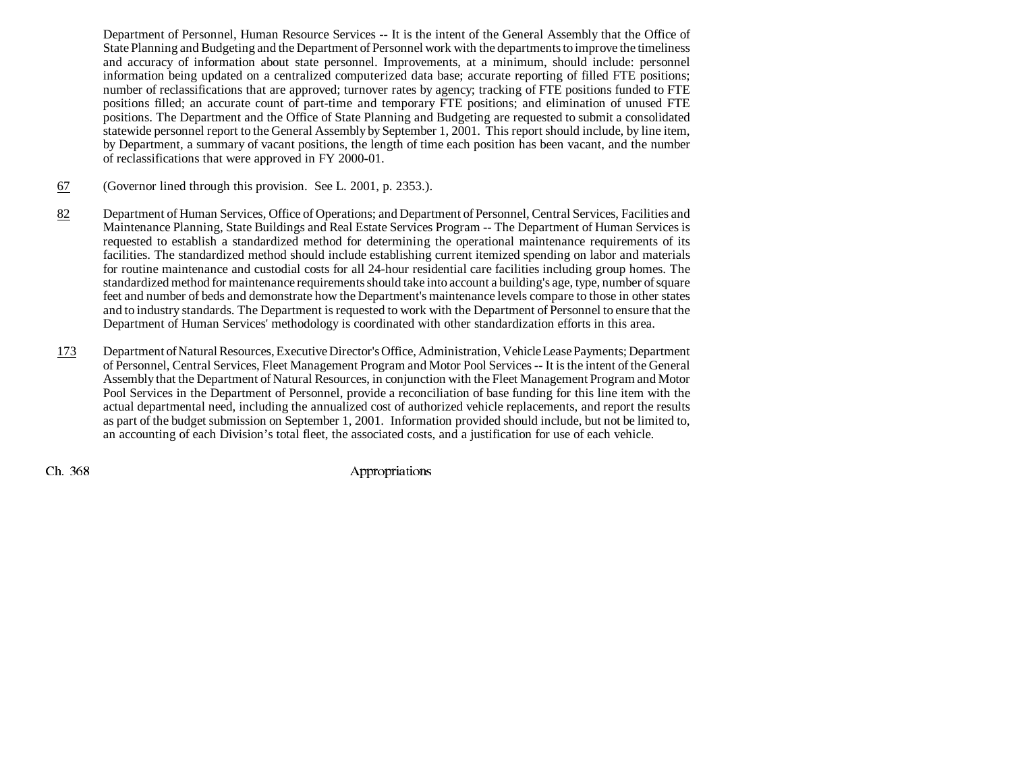Department of Personnel, Human Resource Services -- It is the intent of the General Assembly that the Office of State Planning and Budgeting and the Department of Personnel work with the departments to improve the timeliness and accuracy of information about state personnel. Improvements, at a minimum, should include: personnel information being updated on a centralized computerized data base; accurate reporting of filled FTE positions; number of reclassifications that are approved; turnover rates by agency; tracking of FTE positions funded to FTE positions filled; an accurate count of part-time and temporary FTE positions; and elimination of unused FTE positions. The Department and the Office of State Planning and Budgeting are requested to submit a consolidated statewide personnel report to the General Assembly by September 1, 2001. This report should include, by line item, by Department, a summary of vacant positions, the length of time each position has been vacant, and the number of reclassifications that were approved in FY 2000-01.

- 67(Governor lined through this provision. See L. 2001, p. 2353.).
- 82 Department of Human Services, Office of Operations; and Department of Personnel, Central Services, Facilities and Maintenance Planning, State Buildings and Real Estate Services Program -- The Department of Human Services is requested to establish a standardized method for determining the operational maintenance requirements of its facilities. The standardized method should include establishing current itemized spending on labor and materials for routine maintenance and custodial costs for all 24-hour residential care facilities including group homes. The standardized method for maintenance requirements should take into account a building's age, type, number of square feet and number of beds and demonstrate how the Department's maintenance levels compare to those in other states and to industry standards. The Department is requested to work with the Department of Personnel to ensure that the Department of Human Services' methodology is coordinated with other standardization efforts in this area.
- 173 Department of Natural Resources, Executive Director's Office, Administration, Vehicle Lease Payments; Department of Personnel, Central Services, Fleet Management Program and Motor Pool Services -- It is the intent of the General Assembly that the Department of Natural Resources, in conjunction with the Fleet Management Program and Motor Pool Services in the Department of Personnel, provide a reconciliation of base funding for this line item with the actual departmental need, including the annualized cost of authorized vehicle replacements, and report the results as part of the budget submission on September 1, 2001. Information provided should include, but not be limited to, an accounting of each Division's total fleet, the associated costs, and a justification for use of each vehicle.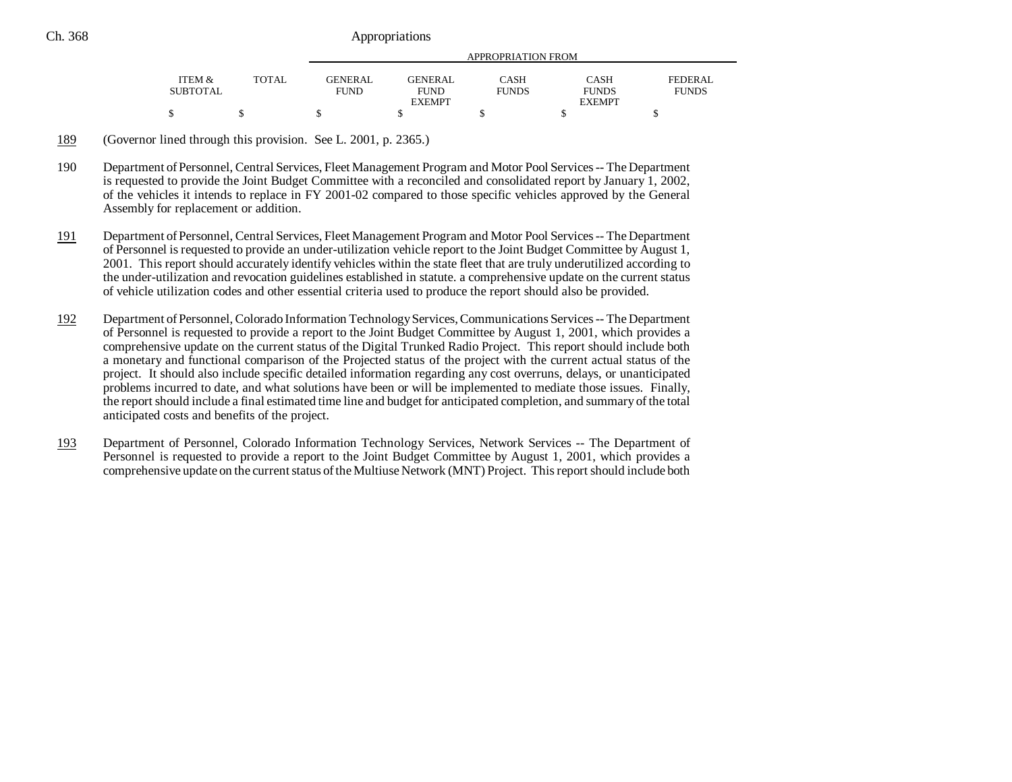|                                      |              |                               | APPROPRIATION FROM            |                             |                      |                         |  |
|--------------------------------------|--------------|-------------------------------|-------------------------------|-----------------------------|----------------------|-------------------------|--|
|                                      |              |                               |                               |                             |                      |                         |  |
| <b>ITEM &amp;</b><br><b>SUBTOTAL</b> | <b>TOTAL</b> | <b>GENERAL</b><br><b>FUND</b> | <b>GENERAL</b><br><b>FUND</b> | <b>CASH</b><br><b>FUNDS</b> | CASH<br><b>FUNDS</b> | FEDERAL<br><b>FUNDS</b> |  |
|                                      |              |                               | <b>EXEMPT</b>                 |                             | <b>EXEMPT</b>        |                         |  |
| \$                                   |              |                               |                               |                             |                      |                         |  |

189(Governor lined through this provision. See L. 2001, p. 2365.)

- 190 Department of Personnel, Central Services, Fleet Management Program and Motor Pool Services -- The Department is requested to provide the Joint Budget Committee with a reconciled and consolidated report by January 1, 2002, of the vehicles it intends to replace in FY 2001-02 compared to those specific vehicles approved by the General Assembly for replacement or addition.
- 191 Department of Personnel, Central Services, Fleet Management Program and Motor Pool Services -- The Department of Personnel is requested to provide an under-utilization vehicle report to the Joint Budget Committee by August 1, 2001. This report should accurately identify vehicles within the state fleet that are truly underutilized according to the under-utilization and revocation guidelines established in statute. a comprehensive update on the current status of vehicle utilization codes and other essential criteria used to produce the report should also be provided.
- 192 Department of Personnel, Colorado Information Technology Services, Communications Services -- The Department of Personnel is requested to provide a report to the Joint Budget Committee by August 1, 2001, which provides a comprehensive update on the current status of the Digital Trunked Radio Project. This report should include both a monetary and functional comparison of the Projected status of the project with the current actual status of the project. It should also include specific detailed information regarding any cost overruns, delays, or unanticipated problems incurred to date, and what solutions have been or will be implemented to mediate those issues. Finally, the report should include a final estimated time line and budget for anticipated completion, and summary of the total anticipated costs and benefits of the project.
- 193 Department of Personnel, Colorado Information Technology Services, Network Services -- The Department of Personnel is requested to provide a report to the Joint Budget Committee by August 1, 2001, which provides a comprehensive update on the current status of the Multiuse Network (MNT) Project. This report should include both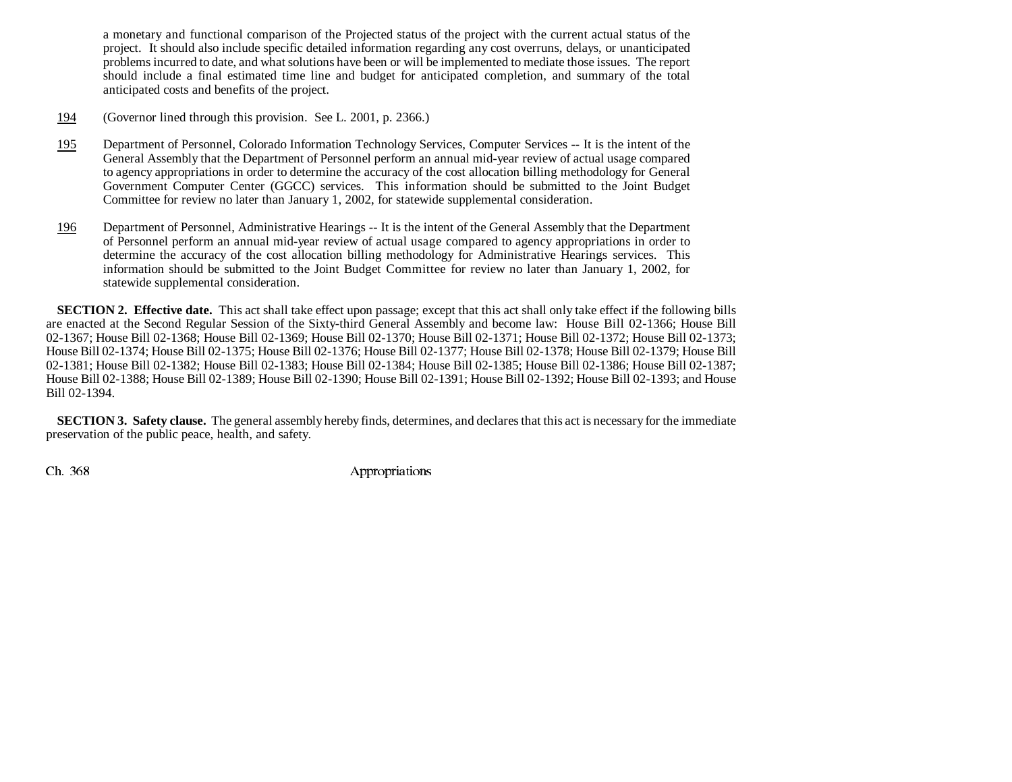a monetary and functional comparison of the Projected status of the project with the current actual status of the project. It should also include specific detailed information regarding any cost overruns, delays, or unanticipated problems incurred to date, and what solutions have been or will be implemented to mediate those issues. The report should include a final estimated time line and budget for anticipated completion, and summary of the total anticipated costs and benefits of the project.

- 194(Governor lined through this provision. See L. 2001, p. 2366.)
- 195 Department of Personnel, Colorado Information Technology Services, Computer Services -- It is the intent of the General Assembly that the Department of Personnel perform an annual mid-year review of actual usage compared to agency appropriations in order to determine the accuracy of the cost allocation billing methodology for General Government Computer Center (GGCC) services. This information should be submitted to the Joint Budget Committee for review no later than January 1, 2002, for statewide supplemental consideration.
- 196 Department of Personnel, Administrative Hearings -- It is the intent of the General Assembly that the Department of Personnel perform an annual mid-year review of actual usage compared to agency appropriations in order to determine the accuracy of the cost allocation billing methodology for Administrative Hearings services. This information should be submitted to the Joint Budget Committee for review no later than January 1, 2002, for statewide supplemental consideration.

**SECTION 2. Effective date.** This act shall take effect upon passage; except that this act shall only take effect if the following bills are enacted at the Second Regular Session of the Sixty-third General Assembly and become law: House Bill 02-1366; House Bill 02-1367; House Bill 02-1368; House Bill 02-1369; House Bill 02-1370; House Bill 02-1371; House Bill 02-1372; House Bill 02-1373; House Bill 02-1374; House Bill 02-1375; House Bill 02-1376; House Bill 02-1377; House Bill 02-1378; House Bill 02-1379; House Bill 02-1381; House Bill 02-1382; House Bill 02-1383; House Bill 02-1384; House Bill 02-1385; House Bill 02-1386; House Bill 02-1387; House Bill 02-1388; House Bill 02-1389; House Bill 02-1390; House Bill 02-1391; House Bill 02-1392; House Bill 02-1393; and House Bill 02-1394.

**SECTION 3. Safety clause.** The general assembly hereby finds, determines, and declares that this act is necessary for the immediate preservation of the public peace, health, and safety.